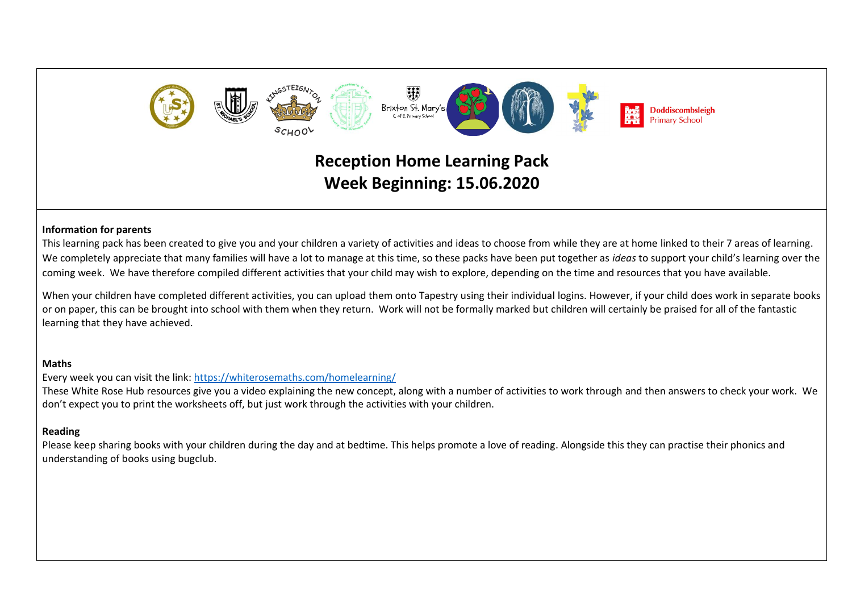

# **Reception Home Learning Pack Week Beginning: 15.06.2020**

#### **Information for parents**

This learning pack has been created to give you and your children a variety of activities and ideas to choose from while they are at home linked to their 7 areas of learning. We completely appreciate that many families will have a lot to manage at this time, so these packs have been put together as *ideas* to support your child's learning over the coming week. We have therefore compiled different activities that your child may wish to explore, depending on the time and resources that you have available.

When your children have completed different activities, you can upload them onto Tapestry using their individual logins. However, if your child does work in separate books or on paper, this can be brought into school with them when they return. Work will not be formally marked but children will certainly be praised for all of the fantastic learning that they have achieved.

### **Maths**

Every week you can visit the link[: https://whiterosemaths.com/homelearning/](https://whiterosemaths.com/homelearning/)

These White Rose Hub resources give you a video explaining the new concept, along with a number of activities to work through and then answers to check your work. We don't expect you to print the worksheets off, but just work through the activities with your children.

## **Reading**

Please keep sharing books with your children during the day and at bedtime. This helps promote a love of reading. Alongside this they can practise their phonics and understanding of books using bugclub.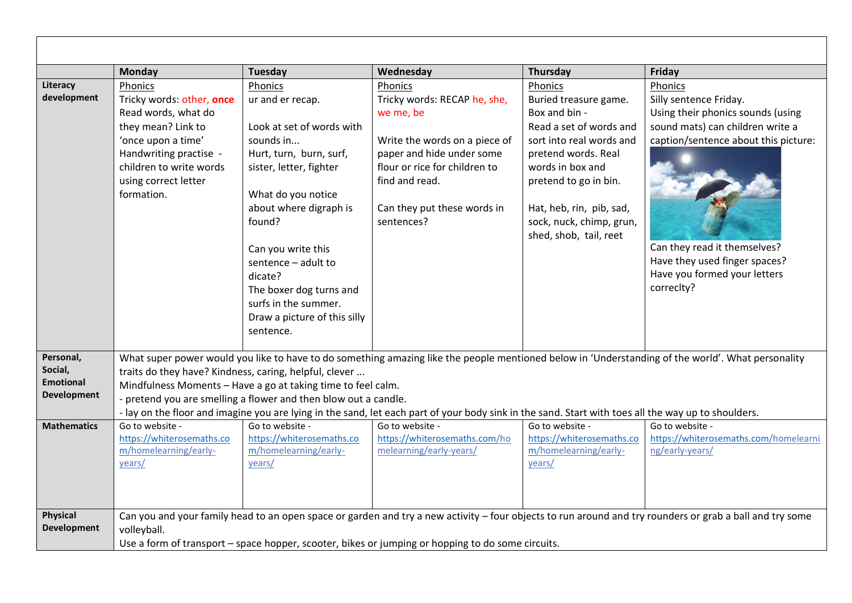|                                                                                      | <b>Monday</b>                                                                                                                                                                                                                                                                                                                                                                                                                                                                                                                                                                                                                                                                                                                                                         | Tuesday                                                                                                                                                                                                                                                                                                                                       | Wednesday                                                                                                                                                                                                          | Thursday                                                                                                                                                                                                                                                       | Friday                                                                                                                                                                                                                                                            |
|--------------------------------------------------------------------------------------|-----------------------------------------------------------------------------------------------------------------------------------------------------------------------------------------------------------------------------------------------------------------------------------------------------------------------------------------------------------------------------------------------------------------------------------------------------------------------------------------------------------------------------------------------------------------------------------------------------------------------------------------------------------------------------------------------------------------------------------------------------------------------|-----------------------------------------------------------------------------------------------------------------------------------------------------------------------------------------------------------------------------------------------------------------------------------------------------------------------------------------------|--------------------------------------------------------------------------------------------------------------------------------------------------------------------------------------------------------------------|----------------------------------------------------------------------------------------------------------------------------------------------------------------------------------------------------------------------------------------------------------------|-------------------------------------------------------------------------------------------------------------------------------------------------------------------------------------------------------------------------------------------------------------------|
| Literacy<br>development                                                              | Phonics<br>Tricky words: other, once<br>Read words, what do<br>they mean? Link to<br>'once upon a time'<br>Handwriting practise -<br>children to write words<br>using correct letter<br>formation.                                                                                                                                                                                                                                                                                                                                                                                                                                                                                                                                                                    | Phonics<br>ur and er recap.<br>Look at set of words with<br>sounds in<br>Hurt, turn, burn, surf,<br>sister, letter, fighter<br>What do you notice<br>about where digraph is<br>found?<br>Can you write this<br>sentence - adult to<br>dicate?<br>The boxer dog turns and<br>surfs in the summer.<br>Draw a picture of this silly<br>sentence. | Phonics<br>Tricky words: RECAP he, she,<br>we me, be<br>Write the words on a piece of<br>paper and hide under some<br>flour or rice for children to<br>find and read.<br>Can they put these words in<br>sentences? | Phonics<br>Buried treasure game.<br>Box and bin -<br>Read a set of words and<br>sort into real words and<br>pretend words. Real<br>words in box and<br>pretend to go in bin.<br>Hat, heb, rin, pib, sad,<br>sock, nuck, chimp, grun,<br>shed, shob, tail, reet | Phonics<br>Silly sentence Friday.<br>Using their phonics sounds (using<br>sound mats) can children write a<br>caption/sentence about this picture:<br>Can they read it themselves?<br>Have they used finger spaces?<br>Have you formed your letters<br>correclty? |
| Personal,<br>Social,<br><b>Emotional</b><br><b>Development</b><br><b>Mathematics</b> | What super power would you like to have to do something amazing like the people mentioned below in 'Understanding of the world'. What personality<br>traits do they have? Kindness, caring, helpful, clever<br>Mindfulness Moments - Have a go at taking time to feel calm.<br>- pretend you are smelling a flower and then blow out a candle.<br>- lay on the floor and imagine you are lying in the sand, let each part of your body sink in the sand. Start with toes all the way up to shoulders.<br>Go to website -<br>Go to website -<br>Go to website -<br>Go to website -<br>Go to website -<br>https://whiterosemaths.com/ho<br>https://whiterosemaths.co<br>https://whiterosemaths.co<br>https://whiterosemaths.co<br>https://whiterosemaths.com/homelearni |                                                                                                                                                                                                                                                                                                                                               |                                                                                                                                                                                                                    |                                                                                                                                                                                                                                                                |                                                                                                                                                                                                                                                                   |
| Physical<br><b>Development</b>                                                       | m/homelearning/early-<br>years/<br>volleyball.                                                                                                                                                                                                                                                                                                                                                                                                                                                                                                                                                                                                                                                                                                                        | m/homelearning/early-<br>years/                                                                                                                                                                                                                                                                                                               | melearning/early-years/<br>Use a form of transport - space hopper, scooter, bikes or jumping or hopping to do some circuits.                                                                                       | m/homelearning/early-<br>years/                                                                                                                                                                                                                                | ng/early-years/<br>Can you and your family head to an open space or garden and try a new activity – four objects to run around and try rounders or grab a ball and try some                                                                                       |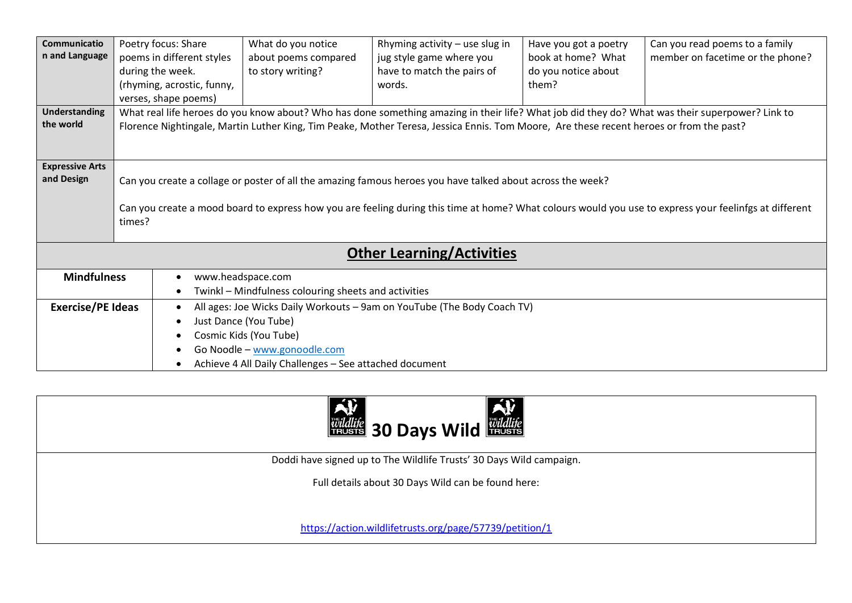| Communicatio<br>n and Language       | Poetry focus: Share<br>poems in different styles<br>during the week.<br>(rhyming, acrostic, funny,                                                                                                                                                                                         | What do you notice<br>about poems compared<br>to story writing?                                                                                                                                                      | Rhyming activity - use slug in<br>jug style game where you<br>have to match the pairs of<br>words. | Have you got a poetry<br>book at home? What<br>do you notice about<br>them? | Can you read poems to a family<br>member on facetime or the phone? |  |  |
|--------------------------------------|--------------------------------------------------------------------------------------------------------------------------------------------------------------------------------------------------------------------------------------------------------------------------------------------|----------------------------------------------------------------------------------------------------------------------------------------------------------------------------------------------------------------------|----------------------------------------------------------------------------------------------------|-----------------------------------------------------------------------------|--------------------------------------------------------------------|--|--|
| <b>Understanding</b>                 | verses, shape poems)                                                                                                                                                                                                                                                                       |                                                                                                                                                                                                                      |                                                                                                    |                                                                             |                                                                    |  |  |
| the world                            | What real life heroes do you know about? Who has done something amazing in their life? What job did they do? What was their superpower? Link to<br>Florence Nightingale, Martin Luther King, Tim Peake, Mother Teresa, Jessica Ennis. Tom Moore, Are these recent heroes or from the past? |                                                                                                                                                                                                                      |                                                                                                    |                                                                             |                                                                    |  |  |
| <b>Expressive Arts</b><br>and Design | Can you create a collage or poster of all the amazing famous heroes you have talked about across the week?<br>Can you create a mood board to express how you are feeling during this time at home? What colours would you use to express your feelinfgs at different<br>times?             |                                                                                                                                                                                                                      |                                                                                                    |                                                                             |                                                                    |  |  |
|                                      |                                                                                                                                                                                                                                                                                            |                                                                                                                                                                                                                      |                                                                                                    |                                                                             |                                                                    |  |  |
| <b>Other Learning/Activities</b>     |                                                                                                                                                                                                                                                                                            |                                                                                                                                                                                                                      |                                                                                                    |                                                                             |                                                                    |  |  |
| <b>Mindfulness</b><br>$\bullet$<br>٠ |                                                                                                                                                                                                                                                                                            | www.headspace.com<br>Twinkl - Mindfulness colouring sheets and activities                                                                                                                                            |                                                                                                    |                                                                             |                                                                    |  |  |
| <b>Exercise/PE Ideas</b>             | $\bullet$<br>$\bullet$<br>$\bullet$<br>$\bullet$                                                                                                                                                                                                                                           | All ages: Joe Wicks Daily Workouts - 9am on YouTube (The Body Coach TV)<br>Just Dance (You Tube)<br>Cosmic Kids (You Tube)<br>Go Noodle - www.gonoodle.com<br>Achieve 4 All Daily Challenges - See attached document |                                                                                                    |                                                                             |                                                                    |  |  |



Doddi have signed up to The Wildlife Trusts' 30 Days Wild campaign.

Full details about 30 Days Wild can be found here:

<https://action.wildlifetrusts.org/page/57739/petition/1>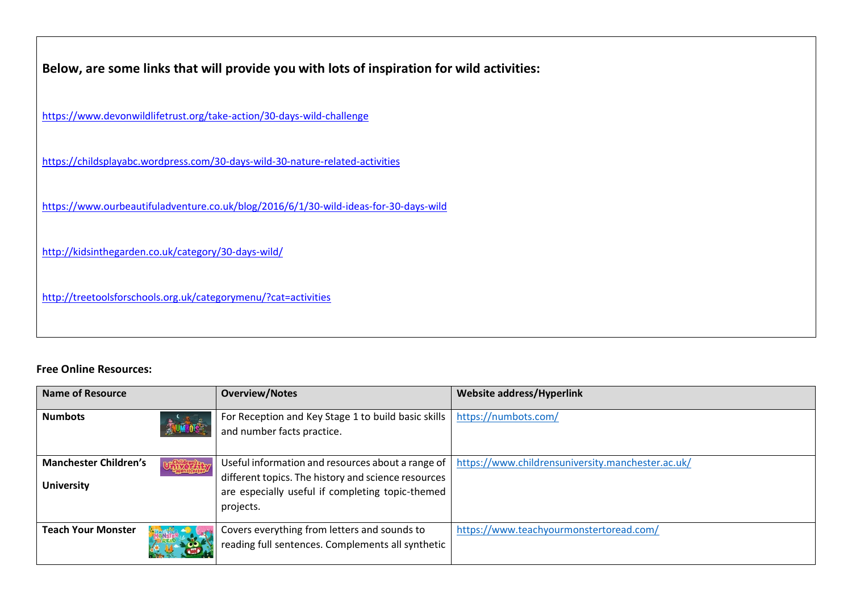| Below, are some links that will provide you with lots of inspiration for wild activities: |  |  |  |
|-------------------------------------------------------------------------------------------|--|--|--|
| https://www.devonwildlifetrust.org/take-action/30-days-wild-challenge                     |  |  |  |
| https://childsplayabc.wordpress.com/30-days-wild-30-nature-related-activities             |  |  |  |
| https://www.ourbeautifuladventure.co.uk/blog/2016/6/1/30-wild-ideas-for-30-days-wild      |  |  |  |
| http://kidsinthegarden.co.uk/category/30-days-wild/                                       |  |  |  |
| http://treetoolsforschools.org.uk/categorymenu/?cat=activities                            |  |  |  |
|                                                                                           |  |  |  |

## **Free Online Resources:**

| <b>Name of Resource</b>                          | <b>Overview/Notes</b>                                                                                   | <b>Website address/Hyperlink</b>                  |
|--------------------------------------------------|---------------------------------------------------------------------------------------------------------|---------------------------------------------------|
| <b>Numbots</b><br><b>Exploration designation</b> | For Reception and Key Stage 1 to build basic skills  <br>and number facts practice.                     | https://numbots.com/                              |
| <b>Manchester Children's</b><br>Utilizersity     | Useful information and resources about a range of                                                       | https://www.childrensuniversity.manchester.ac.uk/ |
| <b>University</b>                                | different topics. The history and science resources<br>are especially useful if completing topic-themed |                                                   |
|                                                  | projects.                                                                                               |                                                   |
| <b>Teach Your Monster</b>                        | Covers everything from letters and sounds to                                                            | https://www.teachyourmonstertoread.com/           |
|                                                  | reading full sentences. Complements all synthetic                                                       |                                                   |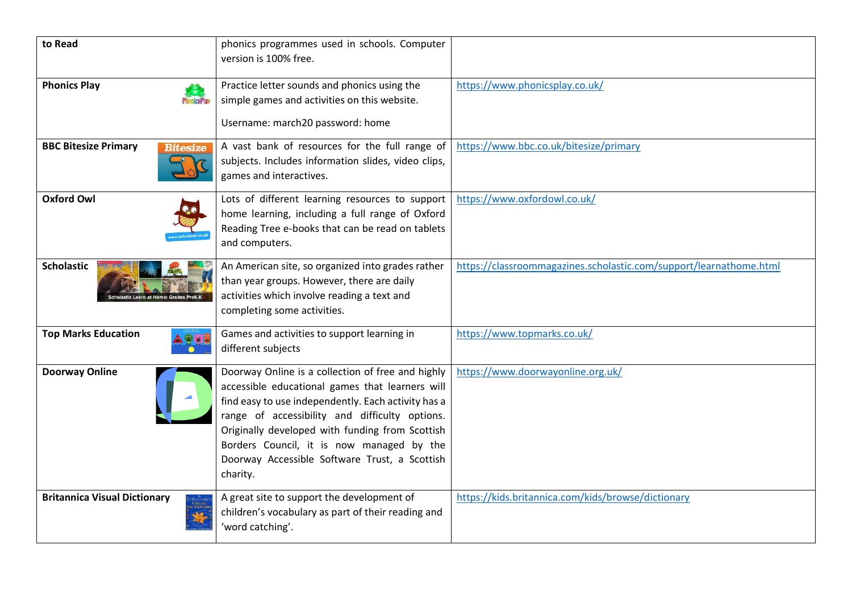| to Read                                                | phonics programmes used in schools. Computer<br>version is 100% free.                                                                                                                                                                                                                                                                                                      |                                                                    |
|--------------------------------------------------------|----------------------------------------------------------------------------------------------------------------------------------------------------------------------------------------------------------------------------------------------------------------------------------------------------------------------------------------------------------------------------|--------------------------------------------------------------------|
| <b>Phonics Play</b><br><b>PhonicsPlay</b>              | Practice letter sounds and phonics using the<br>simple games and activities on this website.<br>Username: march20 password: home                                                                                                                                                                                                                                           | https://www.phonicsplay.co.uk/                                     |
| <b>BBC Bitesize Primary</b><br><b>Bitesize</b>         | A vast bank of resources for the full range of<br>subjects. Includes information slides, video clips,<br>games and interactives.                                                                                                                                                                                                                                           | https://www.bbc.co.uk/bitesize/primary                             |
| <b>Oxford Owl</b>                                      | Lots of different learning resources to support<br>home learning, including a full range of Oxford<br>Reading Tree e-books that can be read on tablets<br>and computers.                                                                                                                                                                                                   | https://www.oxfordowl.co.uk/                                       |
| <b>Scholastic</b><br>stic Learn at Home: Grades PreK-K | An American site, so organized into grades rather<br>than year groups. However, there are daily<br>activities which involve reading a text and<br>completing some activities.                                                                                                                                                                                              | https://classroommagazines.scholastic.com/support/learnathome.html |
| <b>Top Marks Education</b>                             | Games and activities to support learning in<br>different subjects                                                                                                                                                                                                                                                                                                          | https://www.topmarks.co.uk/                                        |
| <b>Doorway Online</b>                                  | Doorway Online is a collection of free and highly<br>accessible educational games that learners will<br>find easy to use independently. Each activity has a<br>range of accessibility and difficulty options.<br>Originally developed with funding from Scottish<br>Borders Council, it is now managed by the<br>Doorway Accessible Software Trust, a Scottish<br>charity. | https://www.doorwayonline.org.uk/                                  |
| <b>Britannica Visual Dictionary</b>                    | A great site to support the development of<br>children's vocabulary as part of their reading and<br>'word catching'.                                                                                                                                                                                                                                                       | https://kids.britannica.com/kids/browse/dictionary                 |